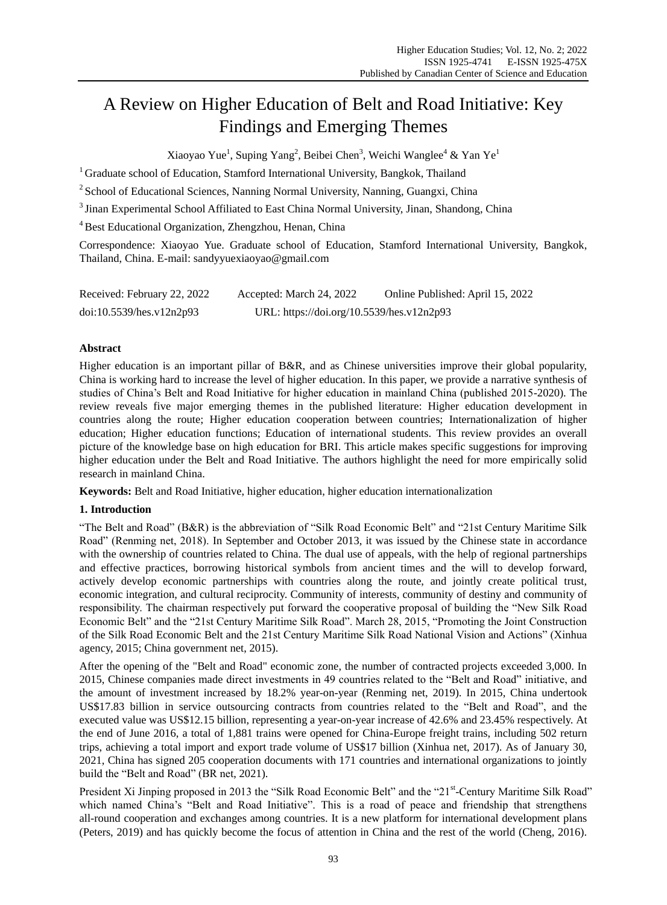# A Review on Higher Education of Belt and Road Initiative: Key Findings and Emerging Themes

Xiaoyao Yue<sup>1</sup>, Suping Yang<sup>2</sup>, Beibei Chen<sup>3</sup>, Weichi Wanglee<sup>4</sup> & Yan Ye<sup>1</sup>

<sup>1</sup> Graduate school of Education, Stamford International University, Bangkok, Thailand

<sup>2</sup> School of Educational Sciences, Nanning Normal University, Nanning, Guangxi, China

<sup>3</sup> Jinan Experimental School Affiliated to East China Normal University, Jinan, Shandong, China

<sup>4</sup> Best Educational Organization, Zhengzhou, Henan, China

Correspondence: Xiaoyao Yue. Graduate school of Education, Stamford International University, Bangkok, Thailand, China. E-mail: sandyyuexiaoyao@gmail.com

| Received: February 22, 2022 | Accepted: March 24, 2022                  | Online Published: April 15, 2022 |
|-----------------------------|-------------------------------------------|----------------------------------|
| doi:10.5539/hes.v12n2p93    | URL: https://doi.org/10.5539/hes.v12n2p93 |                                  |

## **Abstract**

Higher education is an important pillar of B&R, and as Chinese universities improve their global popularity, China is working hard to increase the level of higher education. In this paper, we provide a narrative synthesis of studies of China"s Belt and Road Initiative for higher education in mainland China (published 2015-2020). The review reveals five major emerging themes in the published literature: Higher education development in countries along the route; Higher education cooperation between countries; Internationalization of higher education; Higher education functions; Education of international students. This review provides an overall picture of the knowledge base on high education for BRI. This article makes specific suggestions for improving higher education under the Belt and Road Initiative. The authors highlight the need for more empirically solid research in mainland China.

**Keywords:** Belt and Road Initiative, higher education, higher education internationalization

## **1. Introduction**

"The Belt and Road" (B&R) is the abbreviation of "Silk Road Economic Belt" and "21st Century Maritime Silk Road" (Renming net, 2018). In September and October 2013, it was issued by the Chinese state in accordance with the ownership of countries related to China. The dual use of appeals, with the help of regional partnerships and effective practices, borrowing historical symbols from ancient times and the will to develop forward, actively develop economic partnerships with countries along the route, and jointly create political trust, economic integration, and cultural reciprocity. Community of interests, community of destiny and community of responsibility. The chairman respectively put forward the cooperative proposal of building the "New Silk Road Economic Belt" and the "21st Century Maritime Silk Road". March 28, 2015, "Promoting the Joint Construction of the Silk Road Economic Belt and the 21st Century Maritime Silk Road National Vision and Actions" (Xinhua agency, 2015; China government net, 2015).

After the opening of the "Belt and Road" economic zone, the number of contracted projects exceeded 3,000. In 2015, Chinese companies made direct investments in 49 countries related to the "Belt and Road" initiative, and the amount of investment increased by 18.2% year-on-year (Renming net, 2019). In 2015, China undertook US\$17.83 billion in service outsourcing contracts from countries related to the "Belt and Road", and the executed value was US\$12.15 billion, representing a year-on-year increase of 42.6% and 23.45% respectively. At the end of June 2016, a total of 1,881 trains were opened for China-Europe freight trains, including 502 return trips, achieving a total import and export trade volume of US\$17 billion (Xinhua net, 2017). As of January 30, 2021, China has signed 205 cooperation documents with 171 countries and international organizations to jointly build the "Belt and Road" (BR net, 2021).

President Xi Jinping proposed in 2013 the "Silk Road Economic Belt" and the "21<sup>st</sup>-Century Maritime Silk Road" which named China's "Belt and Road Initiative". This is a road of peace and friendship that strengthens all-round cooperation and exchanges among countries. It is a new platform for international development plans (Peters, 2019) and has quickly become the focus of attention in China and the rest of the world (Cheng, 2016).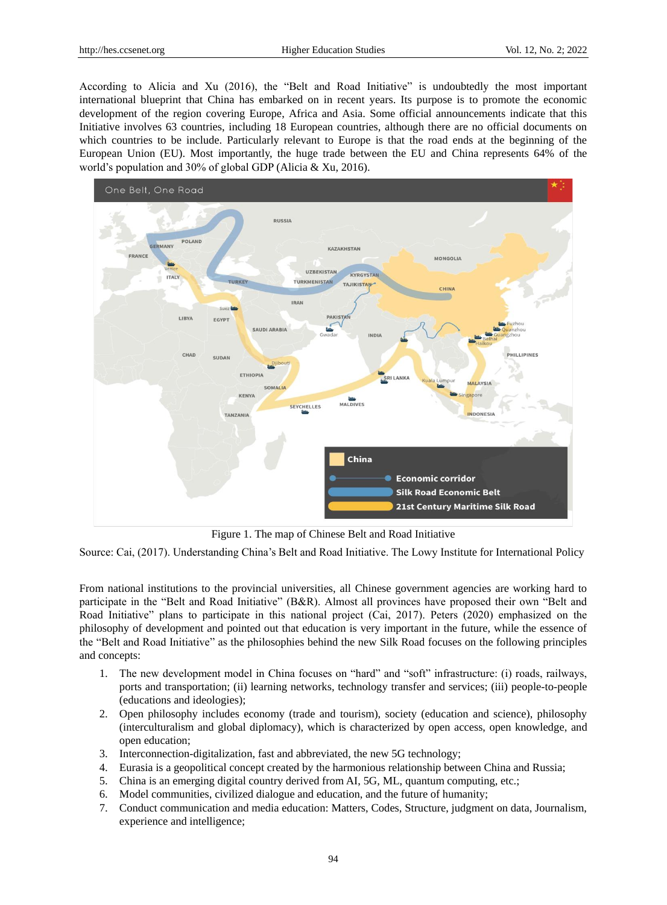According to Alicia and Xu (2016), the "Belt and Road Initiative" is undoubtedly the most important international blueprint that China has embarked on in recent years. Its purpose is to promote the economic development of the region covering Europe, Africa and Asia. Some official announcements indicate that this Initiative involves 63 countries, including 18 European countries, although there are no official documents on which countries to be include. Particularly relevant to Europe is that the road ends at the beginning of the European Union (EU). Most importantly, the huge trade between the EU and China represents 64% of the world"s population and 30% of global GDP (Alicia & Xu, 2016).



Figure 1. The map of Chinese Belt and Road Initiative

Source: Cai, (2017). Understanding China"s Belt and Road Initiative. The Lowy Institute for International Policy

From national institutions to the provincial universities, all Chinese government agencies are working hard to participate in the "Belt and Road Initiative" (B&R). Almost all provinces have proposed their own "Belt and Road Initiative" plans to participate in this national project (Cai, 2017). Peters (2020) emphasized on the philosophy of development and pointed out that education is very important in the future, while the essence of the "Belt and Road Initiative" as the philosophies behind the new Silk Road focuses on the following principles and concepts:

- 1. The new development model in China focuses on "hard" and "soft" infrastructure: (i) roads, railways, ports and transportation; (ii) learning networks, technology transfer and services; (iii) people-to-people (educations and ideologies);
- 2. Open philosophy includes economy (trade and tourism), society (education and science), philosophy (interculturalism and global diplomacy), which is characterized by open access, open knowledge, and open education;
- 3. Interconnection-digitalization, fast and abbreviated, the new 5G technology;
- 4. Eurasia is a geopolitical concept created by the harmonious relationship between China and Russia;
- 5. China is an emerging digital country derived from AI, 5G, ML, quantum computing, etc.;
- 6. Model communities, civilized dialogue and education, and the future of humanity;
- 7. Conduct communication and media education: Matters, Codes, Structure, judgment on data, Journalism, experience and intelligence;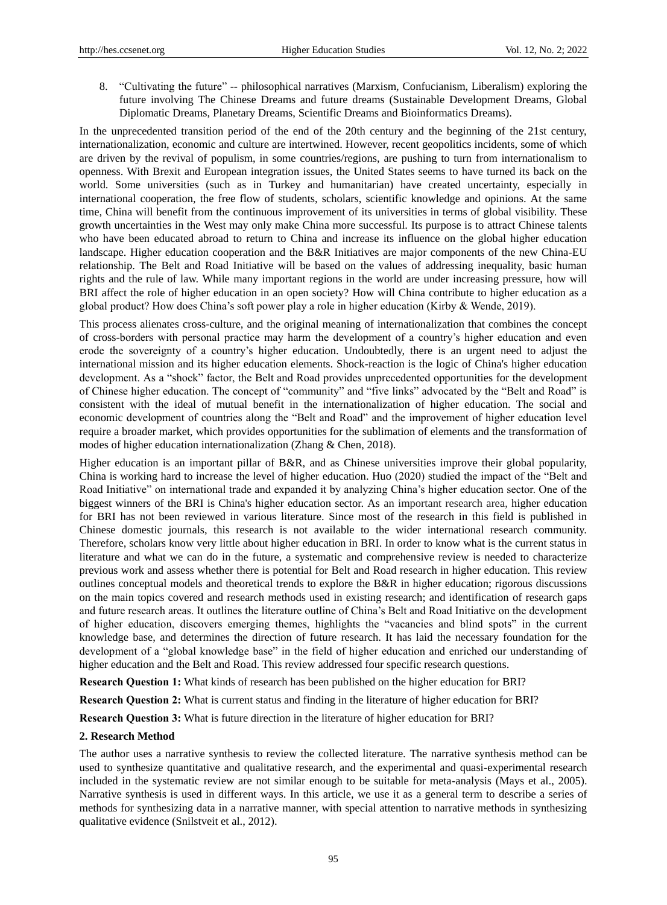8. "Cultivating the future" -- philosophical narratives (Marxism, Confucianism, Liberalism) exploring the future involving The Chinese Dreams and future dreams (Sustainable Development Dreams, Global Diplomatic Dreams, Planetary Dreams, Scientific Dreams and Bioinformatics Dreams).

In the unprecedented transition period of the end of the 20th century and the beginning of the 21st century, internationalization, economic and culture are intertwined. However, recent geopolitics incidents, some of which are driven by the revival of populism, in some countries/regions, are pushing to turn from internationalism to openness. With Brexit and European integration issues, the United States seems to have turned its back on the world. Some universities (such as in Turkey and humanitarian) have created uncertainty, especially in international cooperation, the free flow of students, scholars, scientific knowledge and opinions. At the same time, China will benefit from the continuous improvement of its universities in terms of global visibility. These growth uncertainties in the West may only make China more successful. Its purpose is to attract Chinese talents who have been educated abroad to return to China and increase its influence on the global higher education landscape. Higher education cooperation and the B&R Initiatives are major components of the new China-EU relationship. The Belt and Road Initiative will be based on the values of addressing inequality, basic human rights and the rule of law. While many important regions in the world are under increasing pressure, how will BRI affect the role of higher education in an open society? How will China contribute to higher education as a global product? How does China"s soft power play a role in higher education (Kirby & Wende, 2019).

This process alienates cross-culture, and the original meaning of internationalization that combines the concept of cross-borders with personal practice may harm the development of a country"s higher education and even erode the sovereignty of a country"s higher education. Undoubtedly, there is an urgent need to adjust the international mission and its higher education elements. Shock-reaction is the logic of China's higher education development. As a "shock" factor, the Belt and Road provides unprecedented opportunities for the development of Chinese higher education. The concept of "community" and "five links" advocated by the "Belt and Road" is consistent with the ideal of mutual benefit in the internationalization of higher education. The social and economic development of countries along the "Belt and Road" and the improvement of higher education level require a broader market, which provides opportunities for the sublimation of elements and the transformation of modes of higher education internationalization (Zhang & Chen, 2018).

Higher education is an important pillar of B&R, and as Chinese universities improve their global popularity, China is working hard to increase the level of higher education. Huo (2020) studied the impact of the "Belt and Road Initiative" on international trade and expanded it by analyzing China"s higher education sector. One of the biggest winners of the BRI is China's higher education sector. As an important research area, higher education for BRI has not been reviewed in various literature. Since most of the research in this field is published in Chinese domestic journals, this research is not available to the wider international research community. Therefore, scholars know very little about higher education in BRI. In order to know what is the current status in literature and what we can do in the future, a systematic and comprehensive review is needed to characterize previous work and assess whether there is potential for Belt and Road research in higher education. This review outlines conceptual models and theoretical trends to explore the B&R in higher education; rigorous discussions on the main topics covered and research methods used in existing research; and identification of research gaps and future research areas. It outlines the literature outline of China"s Belt and Road Initiative on the development of higher education, discovers emerging themes, highlights the "vacancies and blind spots" in the current knowledge base, and determines the direction of future research. It has laid the necessary foundation for the development of a "global knowledge base" in the field of higher education and enriched our understanding of higher education and the Belt and Road. This review addressed four specific research questions.

**Research Question 1:** What kinds of research has been published on the higher education for BRI?

**Research Question 2:** What is current status and finding in the literature of higher education for BRI?

**Research Question 3:** What is future direction in the literature of higher education for BRI?

#### **2. Research Method**

The author uses a narrative synthesis to review the collected literature. The narrative synthesis method can be used to synthesize quantitative and qualitative research, and the experimental and quasi-experimental research included in the systematic review are not similar enough to be suitable for meta-analysis (Mays et al., 2005). Narrative synthesis is used in different ways. In this article, we use it as a general term to describe a series of methods for synthesizing data in a narrative manner, with special attention to narrative methods in synthesizing qualitative evidence (Snilstveit et al., 2012).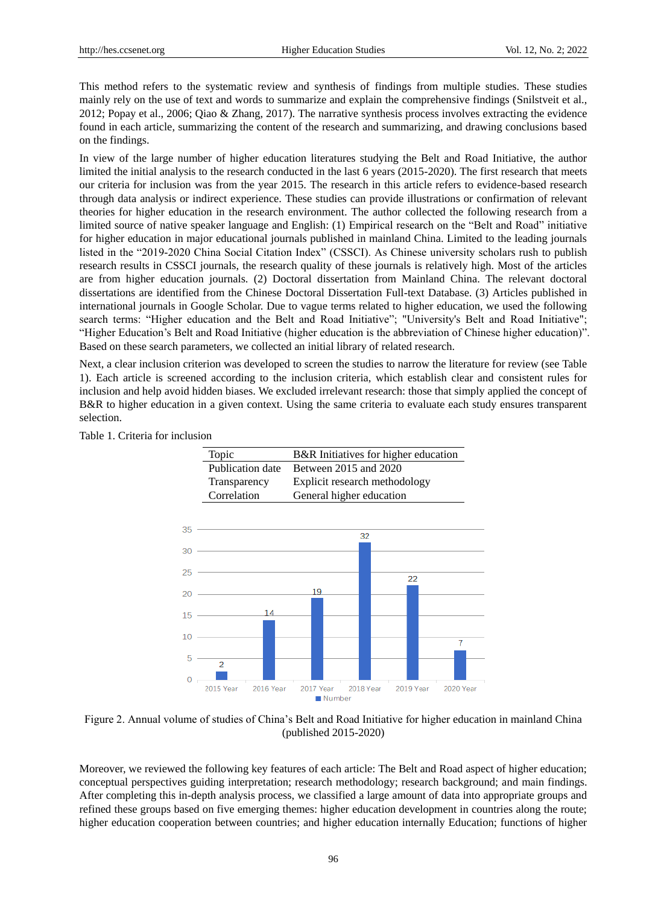This method refers to the systematic review and synthesis of findings from multiple studies. These studies mainly rely on the use of text and words to summarize and explain the comprehensive findings (Snilstveit et al., 2012; Popay et al., 2006; Qiao & Zhang, 2017). The narrative synthesis process involves extracting the evidence found in each article, summarizing the content of the research and summarizing, and drawing conclusions based on the findings.

In view of the large number of higher education literatures studying the Belt and Road Initiative, the author limited the initial analysis to the research conducted in the last 6 years (2015-2020). The first research that meets our criteria for inclusion was from the year 2015. The research in this article refers to evidence-based research through data analysis or indirect experience. These studies can provide illustrations or confirmation of relevant theories for higher education in the research environment. The author collected the following research from a limited source of native speaker language and English: (1) Empirical research on the "Belt and Road" initiative for higher education in major educational journals published in mainland China. Limited to the leading journals listed in the "2019-2020 China Social Citation Index" (CSSCI). As Chinese university scholars rush to publish research results in CSSCI journals, the research quality of these journals is relatively high. Most of the articles are from higher education journals. (2) Doctoral dissertation from Mainland China. The relevant doctoral dissertations are identified from the Chinese Doctoral Dissertation Full-text Database. (3) Articles published in international journals in Google Scholar. Due to vague terms related to higher education, we used the following search terms: "Higher education and the Belt and Road Initiative"; "University's Belt and Road Initiative"; "Higher Education"s Belt and Road Initiative (higher education is the abbreviation of Chinese higher education)". Based on these search parameters, we collected an initial library of related research.

Next, a clear inclusion criterion was developed to screen the studies to narrow the literature for review (see Table 1). Each article is screened according to the inclusion criteria, which establish clear and consistent rules for inclusion and help avoid hidden biases. We excluded irrelevant research: those that simply applied the concept of B&R to higher education in a given context. Using the same criteria to evaluate each study ensures transparent selection.

## Table 1. Criteria for inclusion



Figure 2. Annual volume of studies of China"s Belt and Road Initiative for higher education in mainland China (published 2015-2020)

Moreover, we reviewed the following key features of each article: The Belt and Road aspect of higher education; conceptual perspectives guiding interpretation; research methodology; research background; and main findings. After completing this in-depth analysis process, we classified a large amount of data into appropriate groups and refined these groups based on five emerging themes: higher education development in countries along the route; higher education cooperation between countries; and higher education internally Education; functions of higher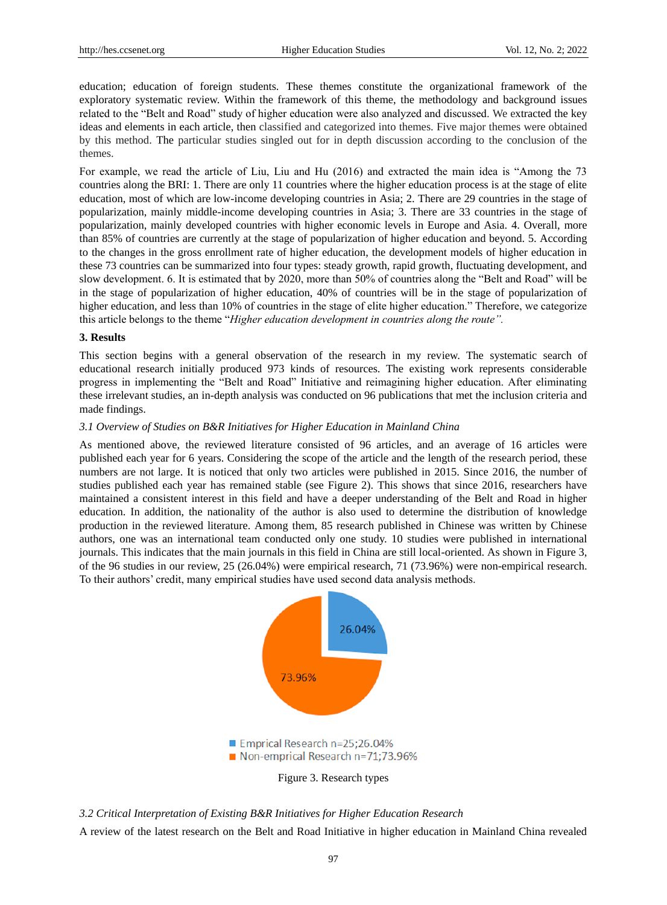education; education of foreign students. These themes constitute the organizational framework of the exploratory systematic review. Within the framework of this theme, the methodology and background issues related to the "Belt and Road" study of higher education were also analyzed and discussed. We extracted the key ideas and elements in each article, then classified and categorized into themes. Five major themes were obtained by this method. The particular studies singled out for in depth discussion according to the conclusion of the themes.

For example, we read the article of Liu, Liu and Hu (2016) and extracted the main idea is "Among the 73 countries along the BRI: 1. There are only 11 countries where the higher education process is at the stage of elite education, most of which are low-income developing countries in Asia; 2. There are 29 countries in the stage of popularization, mainly middle-income developing countries in Asia; 3. There are 33 countries in the stage of popularization, mainly developed countries with higher economic levels in Europe and Asia. 4. Overall, more than 85% of countries are currently at the stage of popularization of higher education and beyond. 5. According to the changes in the gross enrollment rate of higher education, the development models of higher education in these 73 countries can be summarized into four types: steady growth, rapid growth, fluctuating development, and slow development. 6. It is estimated that by 2020, more than 50% of countries along the "Belt and Road" will be in the stage of popularization of higher education, 40% of countries will be in the stage of popularization of higher education, and less than 10% of countries in the stage of elite higher education." Therefore, we categorize this article belongs to the theme "*Higher education development in countries along the route".*

#### **3. Results**

This section begins with a general observation of the research in my review. The systematic search of educational research initially produced 973 kinds of resources. The existing work represents considerable progress in implementing the "Belt and Road" Initiative and reimagining higher education. After eliminating these irrelevant studies, an in-depth analysis was conducted on 96 publications that met the inclusion criteria and made findings.

#### *3.1 Overview of Studies on B&R Initiatives for Higher Education in Mainland China*

As mentioned above, the reviewed literature consisted of 96 articles, and an average of 16 articles were published each year for 6 years. Considering the scope of the article and the length of the research period, these numbers are not large. It is noticed that only two articles were published in 2015. Since 2016, the number of studies published each year has remained stable (see Figure 2). This shows that since 2016, researchers have maintained a consistent interest in this field and have a deeper understanding of the Belt and Road in higher education. In addition, the nationality of the author is also used to determine the distribution of knowledge production in the reviewed literature. Among them, 85 research published in Chinese was written by Chinese authors, one was an international team conducted only one study. 10 studies were published in international journals. This indicates that the main journals in this field in China are still local-oriented. As shown in Figure 3, of the 96 studies in our review, 25 (26.04%) were empirical research, 71 (73.96%) were non-empirical research. To their authors" credit, many empirical studies have used second data analysis methods.



Figure 3. Research types

*3.2 Critical Interpretation of Existing B&R Initiatives for Higher Education Research*

A review of the latest research on the Belt and Road Initiative in higher education in Mainland China revealed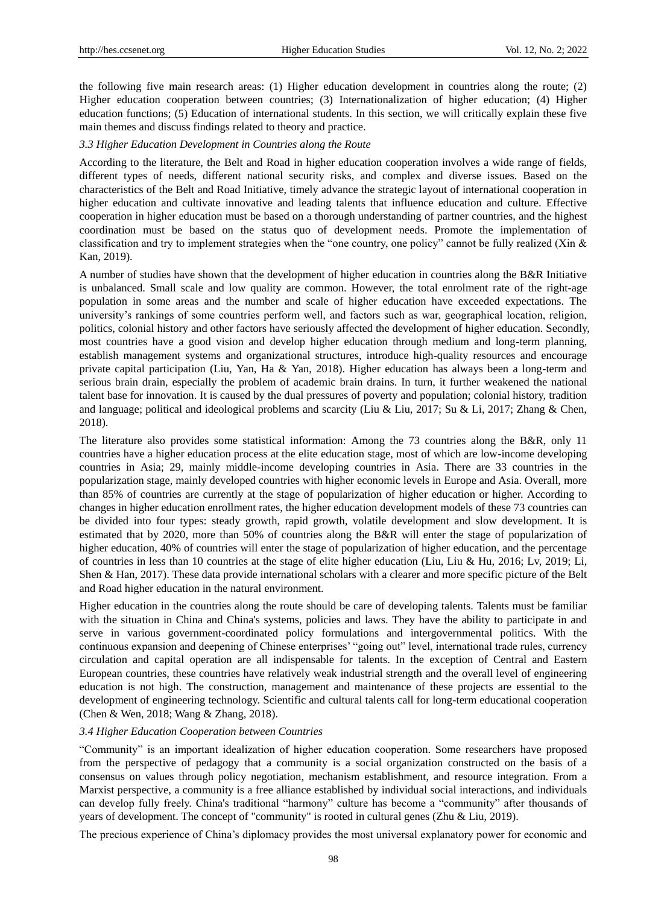the following five main research areas: (1) Higher education development in countries along the route; (2) Higher education cooperation between countries; (3) Internationalization of higher education; (4) Higher education functions; (5) Education of international students. In this section, we will critically explain these five main themes and discuss findings related to theory and practice.

#### *3.3 Higher Education Development in Countries along the Route*

According to the literature, the Belt and Road in higher education cooperation involves a wide range of fields, different types of needs, different national security risks, and complex and diverse issues. Based on the characteristics of the Belt and Road Initiative, timely advance the strategic layout of international cooperation in higher education and cultivate innovative and leading talents that influence education and culture. Effective cooperation in higher education must be based on a thorough understanding of partner countries, and the highest coordination must be based on the status quo of development needs. Promote the implementation of classification and try to implement strategies when the "one country, one policy" cannot be fully realized (Xin & Kan, 2019).

A number of studies have shown that the development of higher education in countries along the B&R Initiative is unbalanced. Small scale and low quality are common. However, the total enrolment rate of the right-age population in some areas and the number and scale of higher education have exceeded expectations. The university"s rankings of some countries perform well, and factors such as war, geographical location, religion, politics, colonial history and other factors have seriously affected the development of higher education. Secondly, most countries have a good vision and develop higher education through medium and long-term planning, establish management systems and organizational structures, introduce high-quality resources and encourage private capital participation (Liu, Yan, Ha & Yan, 2018). Higher education has always been a long-term and serious brain drain, especially the problem of academic brain drains. In turn, it further weakened the national talent base for innovation. It is caused by the dual pressures of poverty and population; colonial history, tradition and language; political and ideological problems and scarcity (Liu & Liu, 2017; Su & Li, 2017; Zhang & Chen, 2018).

The literature also provides some statistical information: Among the 73 countries along the B&R, only 11 countries have a higher education process at the elite education stage, most of which are low-income developing countries in Asia; 29, mainly middle-income developing countries in Asia. There are 33 countries in the popularization stage, mainly developed countries with higher economic levels in Europe and Asia. Overall, more than 85% of countries are currently at the stage of popularization of higher education or higher. According to changes in higher education enrollment rates, the higher education development models of these 73 countries can be divided into four types: steady growth, rapid growth, volatile development and slow development. It is estimated that by 2020, more than 50% of countries along the B&R will enter the stage of popularization of higher education, 40% of countries will enter the stage of popularization of higher education, and the percentage of countries in less than 10 countries at the stage of elite higher education (Liu, Liu & Hu, 2016; Lv, 2019; Li, Shen & Han, 2017). These data provide international scholars with a clearer and more specific picture of the Belt and Road higher education in the natural environment.

Higher education in the countries along the route should be care of developing talents. Talents must be familiar with the situation in China and China's systems, policies and laws. They have the ability to participate in and serve in various government-coordinated policy formulations and intergovernmental politics. With the continuous expansion and deepening of Chinese enterprises" "going out" level, international trade rules, currency circulation and capital operation are all indispensable for talents. In the exception of Central and Eastern European countries, these countries have relatively weak industrial strength and the overall level of engineering education is not high. The construction, management and maintenance of these projects are essential to the development of engineering technology. Scientific and cultural talents call for long-term educational cooperation (Chen & Wen, 2018; Wang & Zhang, 2018).

## *3.4 Higher Education Cooperation between Countries*

"Community" is an important idealization of higher education cooperation. Some researchers have proposed from the perspective of pedagogy that a community is a social organization constructed on the basis of a consensus on values through policy negotiation, mechanism establishment, and resource integration. From a Marxist perspective, a community is a free alliance established by individual social interactions, and individuals can develop fully freely. China's traditional "harmony" culture has become a "community" after thousands of years of development. The concept of "community" is rooted in cultural genes (Zhu & Liu, 2019).

The precious experience of China"s diplomacy provides the most universal explanatory power for economic and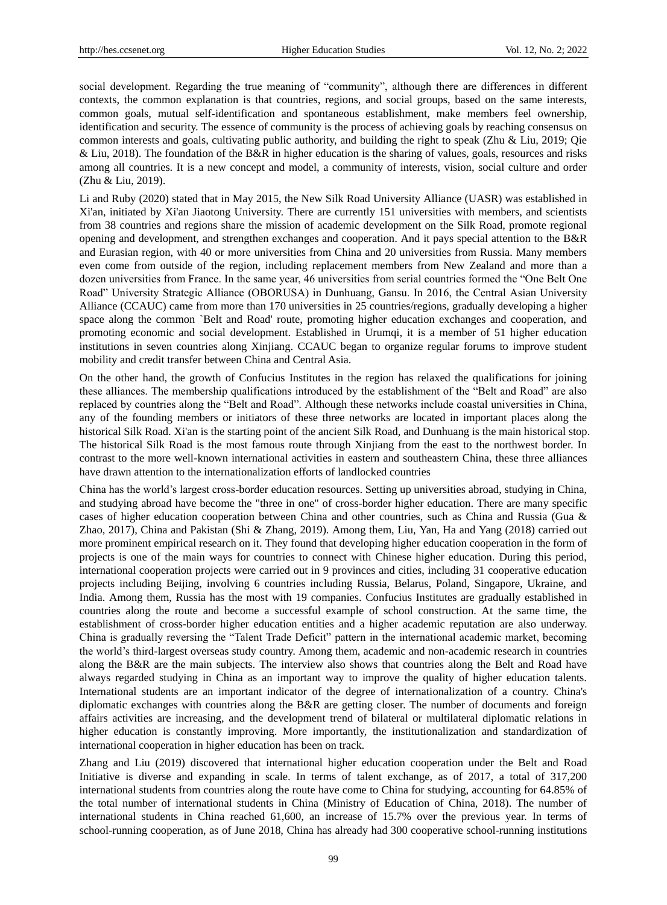social development. Regarding the true meaning of "community", although there are differences in different contexts, the common explanation is that countries, regions, and social groups, based on the same interests, common goals, mutual self-identification and spontaneous establishment, make members feel ownership, identification and security. The essence of community is the process of achieving goals by reaching consensus on common interests and goals, cultivating public authority, and building the right to speak (Zhu & Liu, 2019; Qie & Liu, 2018). The foundation of the B&R in higher education is the sharing of values, goals, resources and risks among all countries. It is a new concept and model, a community of interests, vision, social culture and order (Zhu & Liu, 2019).

Li and Ruby (2020) stated that in May 2015, the New Silk Road University Alliance (UASR) was established in Xi'an, initiated by Xi'an Jiaotong University. There are currently 151 universities with members, and scientists from 38 countries and regions share the mission of academic development on the Silk Road, promote regional opening and development, and strengthen exchanges and cooperation. And it pays special attention to the B&R and Eurasian region, with 40 or more universities from China and 20 universities from Russia. Many members even come from outside of the region, including replacement members from New Zealand and more than a dozen universities from France. In the same year, 46 universities from serial countries formed the "One Belt One Road" University Strategic Alliance (OBORUSA) in Dunhuang, Gansu. In 2016, the Central Asian University Alliance (CCAUC) came from more than 170 universities in 25 countries/regions, gradually developing a higher space along the common `Belt and Road' route, promoting higher education exchanges and cooperation, and promoting economic and social development. Established in Urumqi, it is a member of 51 higher education institutions in seven countries along Xinjiang. CCAUC began to organize regular forums to improve student mobility and credit transfer between China and Central Asia.

On the other hand, the growth of Confucius Institutes in the region has relaxed the qualifications for joining these alliances. The membership qualifications introduced by the establishment of the "Belt and Road" are also replaced by countries along the "Belt and Road". Although these networks include coastal universities in China, any of the founding members or initiators of these three networks are located in important places along the historical Silk Road. Xi'an is the starting point of the ancient Silk Road, and Dunhuang is the main historical stop. The historical Silk Road is the most famous route through Xinjiang from the east to the northwest border. In contrast to the more well-known international activities in eastern and southeastern China, these three alliances have drawn attention to the internationalization efforts of landlocked countries

China has the world"s largest cross-border education resources. Setting up universities abroad, studying in China, and studying abroad have become the "three in one" of cross-border higher education. There are many specific cases of higher education cooperation between China and other countries, such as China and Russia (Gua & Zhao, 2017), China and Pakistan (Shi & Zhang, 2019). Among them, Liu, Yan, Ha and Yang (2018) carried out more prominent empirical research on it. They found that developing higher education cooperation in the form of projects is one of the main ways for countries to connect with Chinese higher education. During this period, international cooperation projects were carried out in 9 provinces and cities, including 31 cooperative education projects including Beijing, involving 6 countries including Russia, Belarus, Poland, Singapore, Ukraine, and India. Among them, Russia has the most with 19 companies. Confucius Institutes are gradually established in countries along the route and become a successful example of school construction. At the same time, the establishment of cross-border higher education entities and a higher academic reputation are also underway. China is gradually reversing the "Talent Trade Deficit" pattern in the international academic market, becoming the world"s third-largest overseas study country. Among them, academic and non-academic research in countries along the B&R are the main subjects. The interview also shows that countries along the Belt and Road have always regarded studying in China as an important way to improve the quality of higher education talents. International students are an important indicator of the degree of internationalization of a country. China's diplomatic exchanges with countries along the B&R are getting closer. The number of documents and foreign affairs activities are increasing, and the development trend of bilateral or multilateral diplomatic relations in higher education is constantly improving. More importantly, the institutionalization and standardization of international cooperation in higher education has been on track.

Zhang and Liu (2019) discovered that international higher education cooperation under the Belt and Road Initiative is diverse and expanding in scale. In terms of talent exchange, as of 2017, a total of 317,200 international students from countries along the route have come to China for studying, accounting for 64.85% of the total number of international students in China (Ministry of Education of China, 2018). The number of international students in China reached 61,600, an increase of 15.7% over the previous year. In terms of school-running cooperation, as of June 2018, China has already had 300 cooperative school-running institutions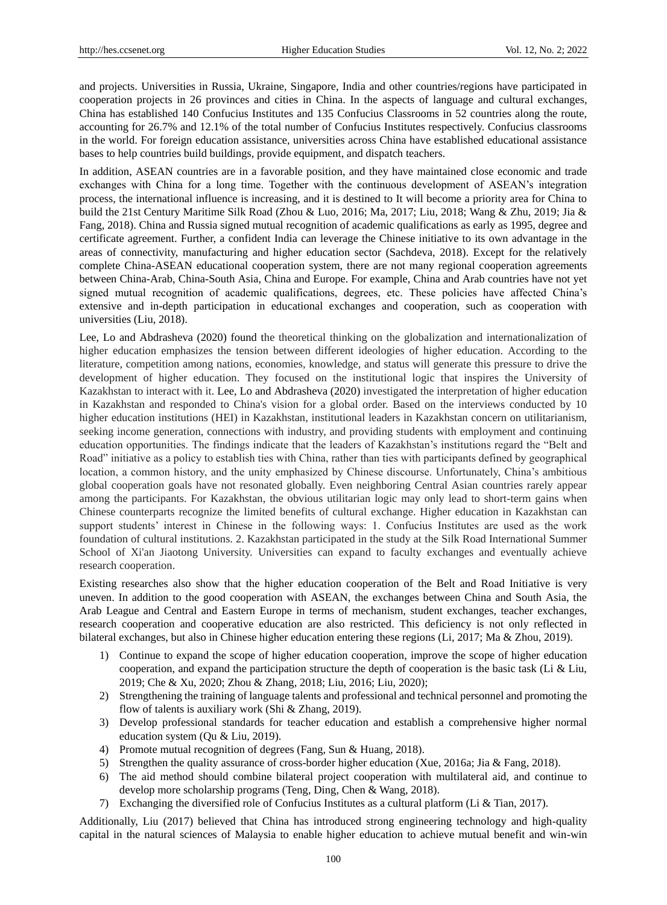and projects. Universities in Russia, Ukraine, Singapore, India and other countries/regions have participated in cooperation projects in 26 provinces and cities in China. In the aspects of language and cultural exchanges, China has established 140 Confucius Institutes and 135 Confucius Classrooms in 52 countries along the route, accounting for 26.7% and 12.1% of the total number of Confucius Institutes respectively. Confucius classrooms in the world. For foreign education assistance, universities across China have established educational assistance bases to help countries build buildings, provide equipment, and dispatch teachers.

In addition, ASEAN countries are in a favorable position, and they have maintained close economic and trade exchanges with China for a long time. Together with the continuous development of ASEAN's integration process, the international influence is increasing, and it is destined to It will become a priority area for China to build the 21st Century Maritime Silk Road (Zhou & Luo, 2016; Ma, 2017; Liu, 2018; Wang & Zhu, 2019; Jia & Fang, 2018). China and Russia signed mutual recognition of academic qualifications as early as 1995, degree and certificate agreement. Further, a confident India can leverage the Chinese initiative to its own advantage in the areas of connectivity, manufacturing and higher education sector (Sachdeva, 2018). Except for the relatively complete China-ASEAN educational cooperation system, there are not many regional cooperation agreements between China-Arab, China-South Asia, China and Europe. For example, China and Arab countries have not yet signed mutual recognition of academic qualifications, degrees, etc. These policies have affected China's extensive and in-depth participation in educational exchanges and cooperation, such as cooperation with universities (Liu, 2018).

Lee, Lo and Abdrasheva (2020) found the theoretical thinking on the globalization and internationalization of higher education emphasizes the tension between different ideologies of higher education. According to the literature, competition among nations, economies, knowledge, and status will generate this pressure to drive the development of higher education. They focused on the institutional logic that inspires the University of Kazakhstan to interact with it. Lee, Lo and Abdrasheva (2020) investigated the interpretation of higher education in Kazakhstan and responded to China's vision for a global order. Based on the interviews conducted by 10 higher education institutions (HEI) in Kazakhstan, institutional leaders in Kazakhstan concern on utilitarianism, seeking income generation, connections with industry, and providing students with employment and continuing education opportunities. The findings indicate that the leaders of Kazakhstan"s institutions regard the "Belt and Road" initiative as a policy to establish ties with China, rather than ties with participants defined by geographical location, a common history, and the unity emphasized by Chinese discourse. Unfortunately, China"s ambitious global cooperation goals have not resonated globally. Even neighboring Central Asian countries rarely appear among the participants. For Kazakhstan, the obvious utilitarian logic may only lead to short-term gains when Chinese counterparts recognize the limited benefits of cultural exchange. Higher education in Kazakhstan can support students' interest in Chinese in the following ways: 1. Confucius Institutes are used as the work foundation of cultural institutions. 2. Kazakhstan participated in the study at the Silk Road International Summer School of Xi'an Jiaotong University. Universities can expand to faculty exchanges and eventually achieve research cooperation.

Existing researches also show that the higher education cooperation of the Belt and Road Initiative is very uneven. In addition to the good cooperation with ASEAN, the exchanges between China and South Asia, the Arab League and Central and Eastern Europe in terms of mechanism, student exchanges, teacher exchanges, research cooperation and cooperative education are also restricted. This deficiency is not only reflected in bilateral exchanges, but also in Chinese higher education entering these regions (Li, 2017; Ma & Zhou, 2019).

- 1) Continue to expand the scope of higher education cooperation, improve the scope of higher education cooperation, and expand the participation structure the depth of cooperation is the basic task (Li  $\&$  Liu, 2019; Che & Xu, 2020; Zhou & Zhang, 2018; Liu, 2016; Liu, 2020);
- 2) Strengthening the training of language talents and professional and technical personnel and promoting the flow of talents is auxiliary work (Shi & Zhang, 2019).
- 3) Develop professional standards for teacher education and establish a comprehensive higher normal education system (Qu & Liu, 2019).
- 4) Promote mutual recognition of degrees (Fang, Sun & Huang, 2018).
- 5) Strengthen the quality assurance of cross-border higher education (Xue, 2016a; Jia & Fang, 2018).
- 6) The aid method should combine bilateral project cooperation with multilateral aid, and continue to develop more scholarship programs (Teng, Ding, Chen & Wang, 2018).
- 7) Exchanging the diversified role of Confucius Institutes as a cultural platform (Li & Tian, 2017).

Additionally, Liu (2017) believed that China has introduced strong engineering technology and high-quality capital in the natural sciences of Malaysia to enable higher education to achieve mutual benefit and win-win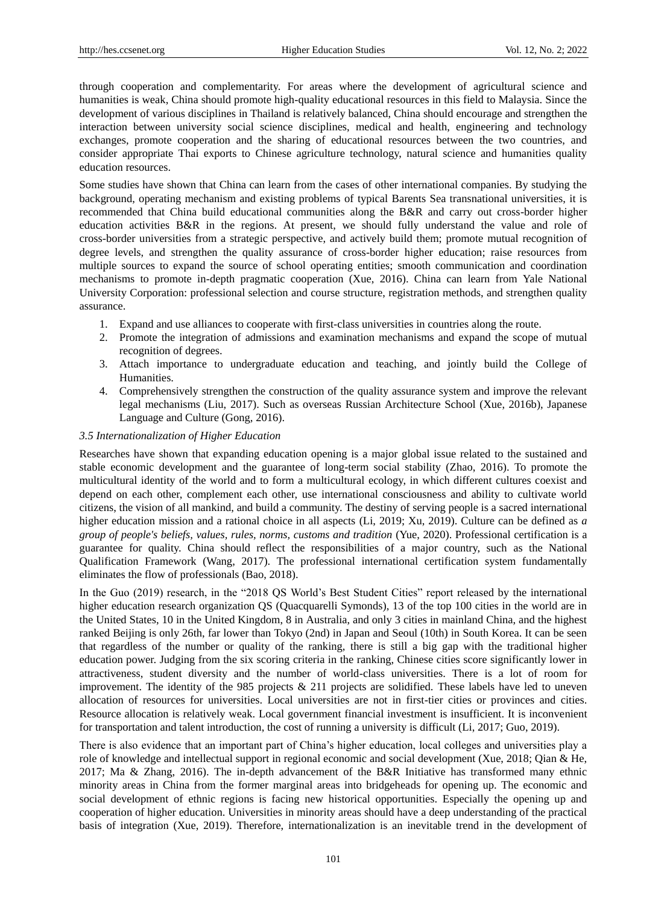through cooperation and complementarity. For areas where the development of agricultural science and humanities is weak, China should promote high-quality educational resources in this field to Malaysia. Since the development of various disciplines in Thailand is relatively balanced, China should encourage and strengthen the interaction between university social science disciplines, medical and health, engineering and technology exchanges, promote cooperation and the sharing of educational resources between the two countries, and consider appropriate Thai exports to Chinese agriculture technology, natural science and humanities quality education resources.

Some studies have shown that China can learn from the cases of other international companies. By studying the background, operating mechanism and existing problems of typical Barents Sea transnational universities, it is recommended that China build educational communities along the B&R and carry out cross-border higher education activities B&R in the regions. At present, we should fully understand the value and role of cross-border universities from a strategic perspective, and actively build them; promote mutual recognition of degree levels, and strengthen the quality assurance of cross-border higher education; raise resources from multiple sources to expand the source of school operating entities; smooth communication and coordination mechanisms to promote in-depth pragmatic cooperation (Xue, 2016). China can learn from Yale National University Corporation: professional selection and course structure, registration methods, and strengthen quality assurance.

- 1. Expand and use alliances to cooperate with first-class universities in countries along the route.
- 2. Promote the integration of admissions and examination mechanisms and expand the scope of mutual recognition of degrees.
- 3. Attach importance to undergraduate education and teaching, and jointly build the College of Humanities.
- 4. Comprehensively strengthen the construction of the quality assurance system and improve the relevant legal mechanisms (Liu, 2017). Such as overseas Russian Architecture School (Xue, 2016b), Japanese Language and Culture (Gong, 2016).

## *3.5 Internationalization of Higher Education*

Researches have shown that expanding education opening is a major global issue related to the sustained and stable economic development and the guarantee of long-term social stability (Zhao, 2016). To promote the multicultural identity of the world and to form a multicultural ecology, in which different cultures coexist and depend on each other, complement each other, use international consciousness and ability to cultivate world citizens, the vision of all mankind, and build a community. The destiny of serving people is a sacred international higher education mission and a rational choice in all aspects (Li, 2019; Xu, 2019). Culture can be defined as *a group of people's beliefs, values, rules, norms, customs and tradition* (Yue, 2020). Professional certification is a guarantee for quality. China should reflect the responsibilities of a major country, such as the National Qualification Framework (Wang, 2017). The professional international certification system fundamentally eliminates the flow of professionals (Bao, 2018).

In the Guo (2019) research, in the "2018 QS World"s Best Student Cities" report released by the international higher education research organization QS (Quacquarelli Symonds), 13 of the top 100 cities in the world are in the United States, 10 in the United Kingdom, 8 in Australia, and only 3 cities in mainland China, and the highest ranked Beijing is only 26th, far lower than Tokyo (2nd) in Japan and Seoul (10th) in South Korea. It can be seen that regardless of the number or quality of the ranking, there is still a big gap with the traditional higher education power. Judging from the six scoring criteria in the ranking, Chinese cities score significantly lower in attractiveness, student diversity and the number of world-class universities. There is a lot of room for improvement. The identity of the 985 projects & 211 projects are solidified. These labels have led to uneven allocation of resources for universities. Local universities are not in first-tier cities or provinces and cities. Resource allocation is relatively weak. Local government financial investment is insufficient. It is inconvenient for transportation and talent introduction, the cost of running a university is difficult (Li, 2017; Guo, 2019).

There is also evidence that an important part of China"s higher education, local colleges and universities play a role of knowledge and intellectual support in regional economic and social development (Xue, 2018; Qian & He, 2017; Ma & Zhang, 2016). The in-depth advancement of the B&R Initiative has transformed many ethnic minority areas in China from the former marginal areas into bridgeheads for opening up. The economic and social development of ethnic regions is facing new historical opportunities. Especially the opening up and cooperation of higher education. Universities in minority areas should have a deep understanding of the practical basis of integration (Xue, 2019). Therefore, internationalization is an inevitable trend in the development of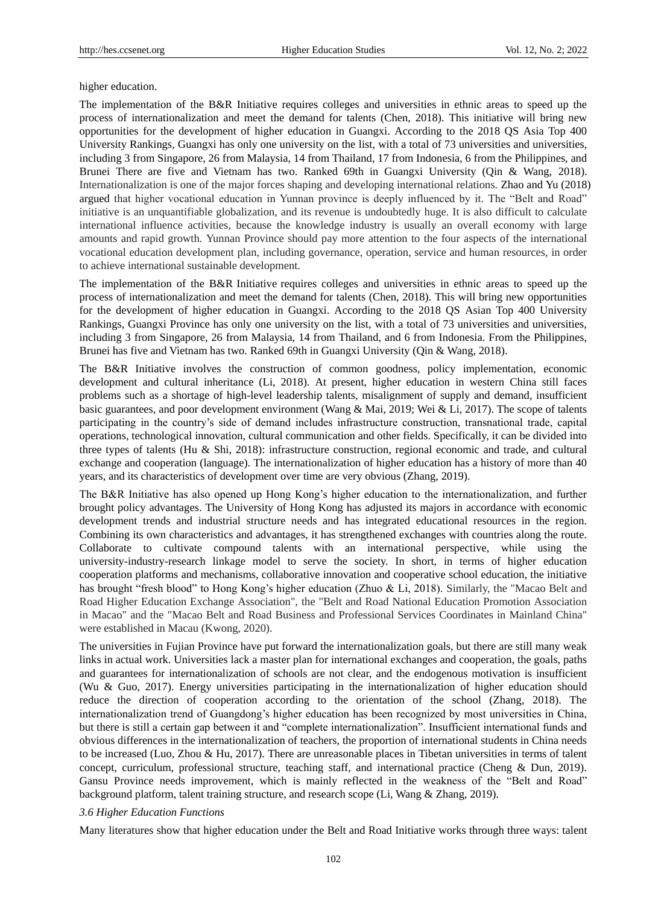higher education.

The implementation of the B&R Initiative requires colleges and universities in ethnic areas to speed up the process of internationalization and meet the demand for talents (Chen, 2018). This initiative will bring new opportunities for the development of higher education in Guangxi. According to the 2018 QS Asia Top 400 University Rankings, Guangxi has only one university on the list, with a total of 73 universities and universities, including 3 from Singapore, 26 from Malaysia, 14 from Thailand, 17 from Indonesia, 6 from the Philippines, and Brunei There are five and Vietnam has two. Ranked 69th in Guangxi University (Qin & Wang, 2018). Internationalization is one of the major forces shaping and developing international relations. Zhao and Yu (2018) argued that higher vocational education in Yunnan province is deeply influenced by it. The "Belt and Road" initiative is an unquantifiable globalization, and its revenue is undoubtedly huge. It is also difficult to calculate international influence activities, because the knowledge industry is usually an overall economy with large amounts and rapid growth. Yunnan Province should pay more attention to the four aspects of the international vocational education development plan, including governance, operation, service and human resources, in order to achieve international sustainable development.

The implementation of the B&R Initiative requires colleges and universities in ethnic areas to speed up the process of internationalization and meet the demand for talents (Chen, 2018). This will bring new opportunities for the development of higher education in Guangxi. According to the 2018 QS Asian Top 400 University Rankings, Guangxi Province has only one university on the list, with a total of 73 universities and universities, including 3 from Singapore, 26 from Malaysia, 14 from Thailand, and 6 from Indonesia. From the Philippines, Brunei has five and Vietnam has two. Ranked 69th in Guangxi University (Qin & Wang, 2018).

The B&R Initiative involves the construction of common goodness, policy implementation, economic development and cultural inheritance (Li, 2018). At present, higher education in western China still faces problems such as a shortage of high-level leadership talents, misalignment of supply and demand, insufficient basic guarantees, and poor development environment (Wang & Mai, 2019; Wei & Li, 2017). The scope of talents participating in the country"s side of demand includes infrastructure construction, transnational trade, capital operations, technological innovation, cultural communication and other fields. Specifically, it can be divided into three types of talents (Hu & Shi, 2018): infrastructure construction, regional economic and trade, and cultural exchange and cooperation (language). The internationalization of higher education has a history of more than 40 years, and its characteristics of development over time are very obvious (Zhang, 2019).

The B&R Initiative has also opened up Hong Kong"s higher education to the internationalization, and further brought policy advantages. The University of Hong Kong has adjusted its majors in accordance with economic development trends and industrial structure needs and has integrated educational resources in the region. Combining its own characteristics and advantages, it has strengthened exchanges with countries along the route. Collaborate to cultivate compound talents with an international perspective, while using the university-industry-research linkage model to serve the society. In short, in terms of higher education cooperation platforms and mechanisms, collaborative innovation and cooperative school education, the initiative has brought "fresh blood" to Hong Kong's higher education (Zhuo & Li, 2018). Similarly, the "Macao Belt and Road Higher Education Exchange Association", the "Belt and Road National Education Promotion Association in Macao" and the "Macao Belt and Road Business and Professional Services Coordinates in Mainland China" were established in Macau (Kwong, 2020).

The universities in Fujian Province have put forward the internationalization goals, but there are still many weak links in actual work. Universities lack a master plan for international exchanges and cooperation, the goals, paths and guarantees for internationalization of schools are not clear, and the endogenous motivation is insufficient (Wu & Guo, 2017). Energy universities participating in the internationalization of higher education should reduce the direction of cooperation according to the orientation of the school (Zhang, 2018). The internationalization trend of Guangdong"s higher education has been recognized by most universities in China, but there is still a certain gap between it and "complete internationalization". Insufficient international funds and obvious differences in the internationalization of teachers, the proportion of international students in China needs to be increased (Luo, Zhou & Hu, 2017). There are unreasonable places in Tibetan universities in terms of talent concept, curriculum, professional structure, teaching staff, and international practice (Cheng & Dun, 2019). Gansu Province needs improvement, which is mainly reflected in the weakness of the "Belt and Road" background platform, talent training structure, and research scope (Li, Wang & Zhang, 2019).

## *3.6 Higher Education Functions*

Many literatures show that higher education under the Belt and Road Initiative works through three ways: talent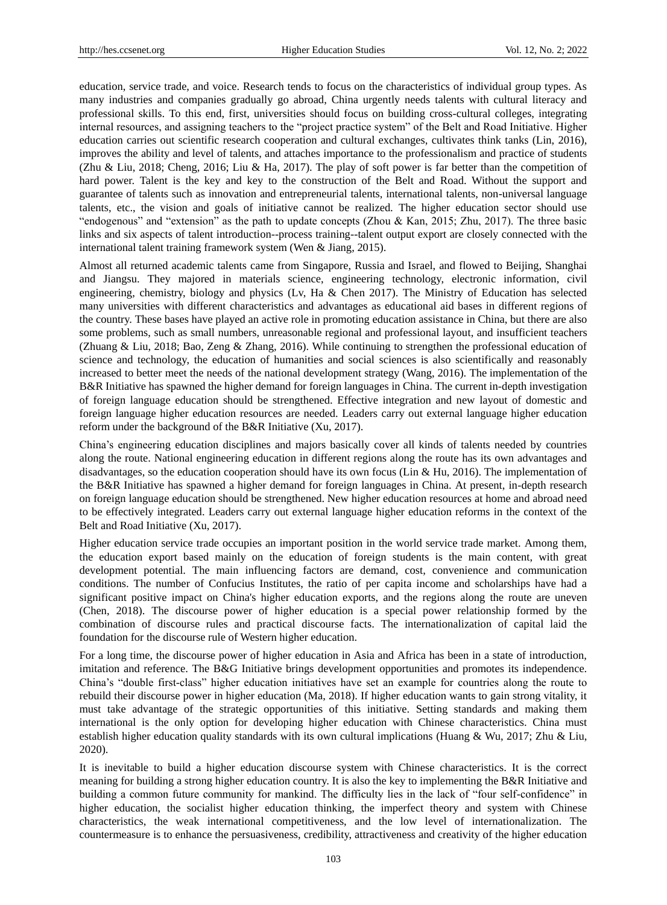education, service trade, and voice. Research tends to focus on the characteristics of individual group types. As many industries and companies gradually go abroad, China urgently needs talents with cultural literacy and professional skills. To this end, first, universities should focus on building cross-cultural colleges, integrating internal resources, and assigning teachers to the "project practice system" of the Belt and Road Initiative. Higher education carries out scientific research cooperation and cultural exchanges, cultivates think tanks (Lin, 2016), improves the ability and level of talents, and attaches importance to the professionalism and practice of students (Zhu & Liu, 2018; Cheng, 2016; Liu & Ha, 2017). The play of soft power is far better than the competition of hard power. Talent is the key and key to the construction of the Belt and Road. Without the support and guarantee of talents such as innovation and entrepreneurial talents, international talents, non-universal language talents, etc., the vision and goals of initiative cannot be realized. The higher education sector should use "endogenous" and "extension" as the path to update concepts (Zhou & Kan, 2015; Zhu, 2017). The three basic links and six aspects of talent introduction--process training--talent output export are closely connected with the international talent training framework system (Wen & Jiang, 2015).

Almost all returned academic talents came from Singapore, Russia and Israel, and flowed to Beijing, Shanghai and Jiangsu. They majored in materials science, engineering technology, electronic information, civil engineering, chemistry, biology and physics (Lv, Ha & Chen 2017). The Ministry of Education has selected many universities with different characteristics and advantages as educational aid bases in different regions of the country. These bases have played an active role in promoting education assistance in China, but there are also some problems, such as small numbers, unreasonable regional and professional layout, and insufficient teachers (Zhuang & Liu, 2018; Bao, Zeng & Zhang, 2016). While continuing to strengthen the professional education of science and technology, the education of humanities and social sciences is also scientifically and reasonably increased to better meet the needs of the national development strategy (Wang, 2016). The implementation of the B&R Initiative has spawned the higher demand for foreign languages in China. The current in-depth investigation of foreign language education should be strengthened. Effective integration and new layout of domestic and foreign language higher education resources are needed. Leaders carry out external language higher education reform under the background of the B&R Initiative (Xu, 2017).

China"s engineering education disciplines and majors basically cover all kinds of talents needed by countries along the route. National engineering education in different regions along the route has its own advantages and disadvantages, so the education cooperation should have its own focus (Lin & Hu, 2016). The implementation of the B&R Initiative has spawned a higher demand for foreign languages in China. At present, in-depth research on foreign language education should be strengthened. New higher education resources at home and abroad need to be effectively integrated. Leaders carry out external language higher education reforms in the context of the Belt and Road Initiative (Xu, 2017).

Higher education service trade occupies an important position in the world service trade market. Among them, the education export based mainly on the education of foreign students is the main content, with great development potential. The main influencing factors are demand, cost, convenience and communication conditions. The number of Confucius Institutes, the ratio of per capita income and scholarships have had a significant positive impact on China's higher education exports, and the regions along the route are uneven (Chen, 2018). The discourse power of higher education is a special power relationship formed by the combination of discourse rules and practical discourse facts. The internationalization of capital laid the foundation for the discourse rule of Western higher education.

For a long time, the discourse power of higher education in Asia and Africa has been in a state of introduction, imitation and reference. The B&G Initiative brings development opportunities and promotes its independence. China"s "double first-class" higher education initiatives have set an example for countries along the route to rebuild their discourse power in higher education (Ma, 2018). If higher education wants to gain strong vitality, it must take advantage of the strategic opportunities of this initiative. Setting standards and making them international is the only option for developing higher education with Chinese characteristics. China must establish higher education quality standards with its own cultural implications (Huang & Wu, 2017; Zhu & Liu, 2020).

It is inevitable to build a higher education discourse system with Chinese characteristics. It is the correct meaning for building a strong higher education country. It is also the key to implementing the B&R Initiative and building a common future community for mankind. The difficulty lies in the lack of "four self-confidence" in higher education, the socialist higher education thinking, the imperfect theory and system with Chinese characteristics, the weak international competitiveness, and the low level of internationalization. The countermeasure is to enhance the persuasiveness, credibility, attractiveness and creativity of the higher education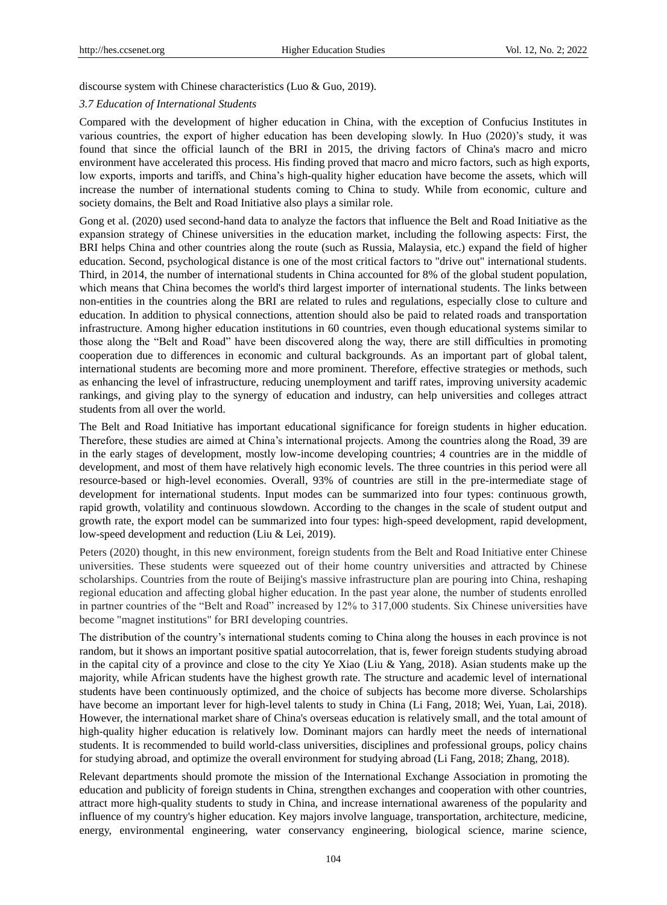discourse system with Chinese characteristics (Luo & Guo, 2019).

#### *3.7 Education of International Students*

Compared with the development of higher education in China, with the exception of Confucius Institutes in various countries, the export of higher education has been developing slowly. In Huo (2020)"s study, it was found that since the official launch of the BRI in 2015, the driving factors of China's macro and micro environment have accelerated this process. His finding proved that macro and micro factors, such as high exports, low exports, imports and tariffs, and China"s high-quality higher education have become the assets, which will increase the number of international students coming to China to study. While from economic, culture and society domains, the Belt and Road Initiative also plays a similar role.

Gong et al. (2020) used second-hand data to analyze the factors that influence the Belt and Road Initiative as the expansion strategy of Chinese universities in the education market, including the following aspects: First, the BRI helps China and other countries along the route (such as Russia, Malaysia, etc.) expand the field of higher education. Second, psychological distance is one of the most critical factors to "drive out" international students. Third, in 2014, the number of international students in China accounted for 8% of the global student population, which means that China becomes the world's third largest importer of international students. The links between non-entities in the countries along the BRI are related to rules and regulations, especially close to culture and education. In addition to physical connections, attention should also be paid to related roads and transportation infrastructure. Among higher education institutions in 60 countries, even though educational systems similar to those along the "Belt and Road" have been discovered along the way, there are still difficulties in promoting cooperation due to differences in economic and cultural backgrounds. As an important part of global talent, international students are becoming more and more prominent. Therefore, effective strategies or methods, such as enhancing the level of infrastructure, reducing unemployment and tariff rates, improving university academic rankings, and giving play to the synergy of education and industry, can help universities and colleges attract students from all over the world.

The Belt and Road Initiative has important educational significance for foreign students in higher education. Therefore, these studies are aimed at China"s international projects. Among the countries along the Road, 39 are in the early stages of development, mostly low-income developing countries; 4 countries are in the middle of development, and most of them have relatively high economic levels. The three countries in this period were all resource-based or high-level economies. Overall, 93% of countries are still in the pre-intermediate stage of development for international students. Input modes can be summarized into four types: continuous growth, rapid growth, volatility and continuous slowdown. According to the changes in the scale of student output and growth rate, the export model can be summarized into four types: high-speed development, rapid development, low-speed development and reduction (Liu & Lei, 2019).

Peters (2020) thought, in this new environment, foreign students from the Belt and Road Initiative enter Chinese universities. These students were squeezed out of their home country universities and attracted by Chinese scholarships. Countries from the route of Beijing's massive infrastructure plan are pouring into China, reshaping regional education and affecting global higher education. In the past year alone, the number of students enrolled in partner countries of the "Belt and Road" increased by 12% to 317,000 students. Six Chinese universities have become "magnet institutions" for BRI developing countries.

The distribution of the country"s international students coming to China along the houses in each province is not random, but it shows an important positive spatial autocorrelation, that is, fewer foreign students studying abroad in the capital city of a province and close to the city Ye Xiao (Liu & Yang, 2018). Asian students make up the majority, while African students have the highest growth rate. The structure and academic level of international students have been continuously optimized, and the choice of subjects has become more diverse. Scholarships have become an important lever for high-level talents to study in China (Li Fang, 2018; Wei, Yuan, Lai, 2018). However, the international market share of China's overseas education is relatively small, and the total amount of high-quality higher education is relatively low. Dominant majors can hardly meet the needs of international students. It is recommended to build world-class universities, disciplines and professional groups, policy chains for studying abroad, and optimize the overall environment for studying abroad (Li Fang, 2018; Zhang, 2018).

Relevant departments should promote the mission of the International Exchange Association in promoting the education and publicity of foreign students in China, strengthen exchanges and cooperation with other countries, attract more high-quality students to study in China, and increase international awareness of the popularity and influence of my country's higher education. Key majors involve language, transportation, architecture, medicine, energy, environmental engineering, water conservancy engineering, biological science, marine science,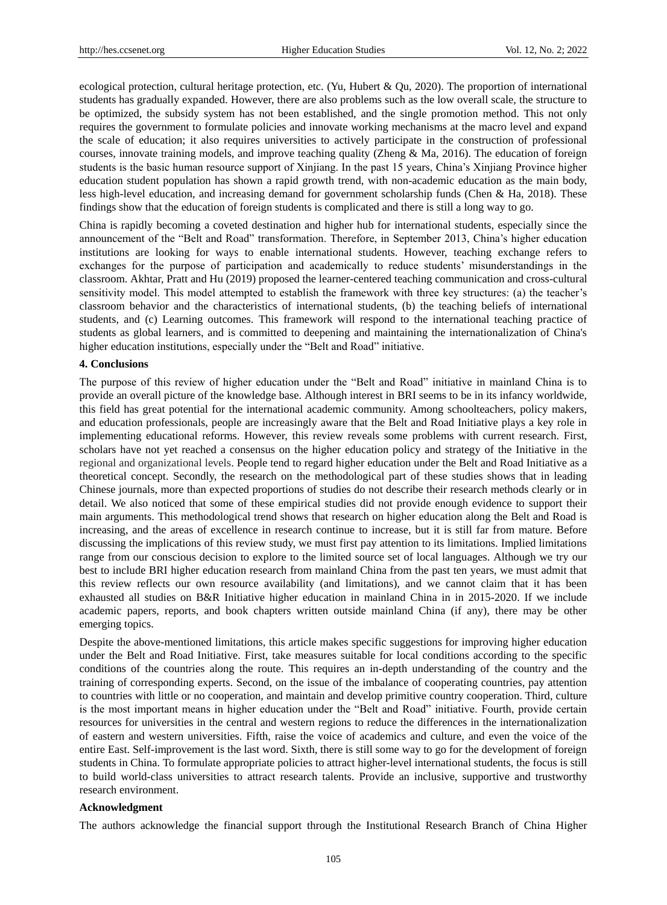ecological protection, cultural heritage protection, etc. (Yu, Hubert & Qu, 2020). The proportion of international students has gradually expanded. However, there are also problems such as the low overall scale, the structure to be optimized, the subsidy system has not been established, and the single promotion method. This not only requires the government to formulate policies and innovate working mechanisms at the macro level and expand the scale of education; it also requires universities to actively participate in the construction of professional courses, innovate training models, and improve teaching quality (Zheng & Ma, 2016). The education of foreign students is the basic human resource support of Xinjiang. In the past 15 years, China"s Xinjiang Province higher education student population has shown a rapid growth trend, with non-academic education as the main body, less high-level education, and increasing demand for government scholarship funds (Chen & Ha, 2018). These findings show that the education of foreign students is complicated and there is still a long way to go.

China is rapidly becoming a coveted destination and higher hub for international students, especially since the announcement of the "Belt and Road" transformation. Therefore, in September 2013, China"s higher education institutions are looking for ways to enable international students. However, teaching exchange refers to exchanges for the purpose of participation and academically to reduce students" misunderstandings in the classroom. Akhtar, Pratt and Hu (2019) proposed the learner-centered teaching communication and cross-cultural sensitivity model. This model attempted to establish the framework with three key structures: (a) the teacher"s classroom behavior and the characteristics of international students, (b) the teaching beliefs of international students, and (c) Learning outcomes. This framework will respond to the international teaching practice of students as global learners, and is committed to deepening and maintaining the internationalization of China's higher education institutions, especially under the "Belt and Road" initiative.

#### **4. Conclusions**

The purpose of this review of higher education under the "Belt and Road" initiative in mainland China is to provide an overall picture of the knowledge base. Although interest in BRI seems to be in its infancy worldwide, this field has great potential for the international academic community. Among schoolteachers, policy makers, and education professionals, people are increasingly aware that the Belt and Road Initiative plays a key role in implementing educational reforms. However, this review reveals some problems with current research. First, scholars have not yet reached a consensus on the higher education policy and strategy of the Initiative in the regional and organizational levels. People tend to regard higher education under the Belt and Road Initiative as a theoretical concept. Secondly, the research on the methodological part of these studies shows that in leading Chinese journals, more than expected proportions of studies do not describe their research methods clearly or in detail. We also noticed that some of these empirical studies did not provide enough evidence to support their main arguments. This methodological trend shows that research on higher education along the Belt and Road is increasing, and the areas of excellence in research continue to increase, but it is still far from mature. Before discussing the implications of this review study, we must first pay attention to its limitations. Implied limitations range from our conscious decision to explore to the limited source set of local languages. Although we try our best to include BRI higher education research from mainland China from the past ten years, we must admit that this review reflects our own resource availability (and limitations), and we cannot claim that it has been exhausted all studies on B&R Initiative higher education in mainland China in in 2015-2020. If we include academic papers, reports, and book chapters written outside mainland China (if any), there may be other emerging topics.

Despite the above-mentioned limitations, this article makes specific suggestions for improving higher education under the Belt and Road Initiative. First, take measures suitable for local conditions according to the specific conditions of the countries along the route. This requires an in-depth understanding of the country and the training of corresponding experts. Second, on the issue of the imbalance of cooperating countries, pay attention to countries with little or no cooperation, and maintain and develop primitive country cooperation. Third, culture is the most important means in higher education under the "Belt and Road" initiative. Fourth, provide certain resources for universities in the central and western regions to reduce the differences in the internationalization of eastern and western universities. Fifth, raise the voice of academics and culture, and even the voice of the entire East. Self-improvement is the last word. Sixth, there is still some way to go for the development of foreign students in China. To formulate appropriate policies to attract higher-level international students, the focus is still to build world-class universities to attract research talents. Provide an inclusive, supportive and trustworthy research environment.

## **Acknowledgment**

The authors acknowledge the financial support through the Institutional Research Branch of China Higher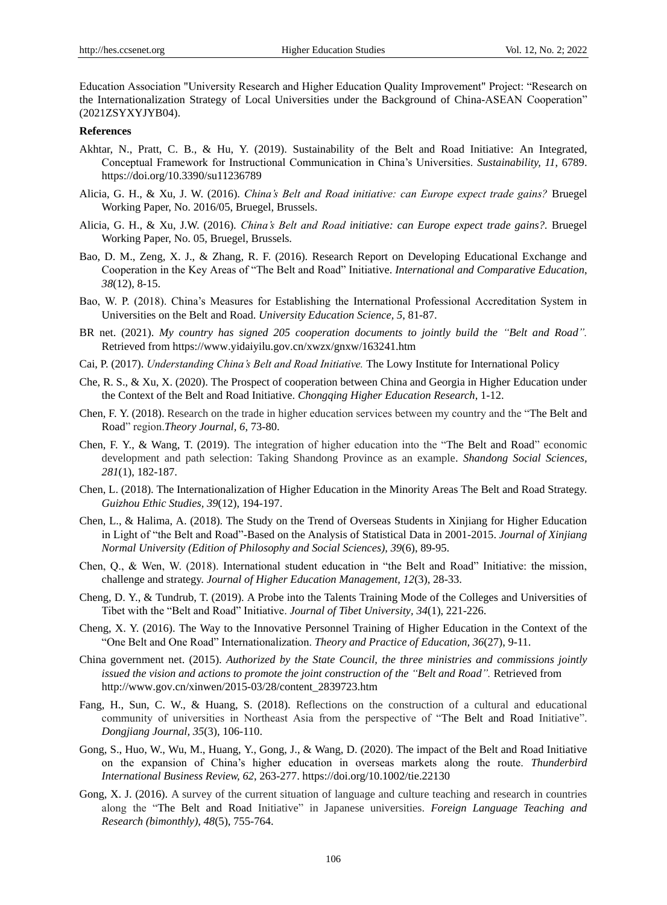Education Association "University Research and Higher Education Quality Improvement" Project: "Research on the Internationalization Strategy of Local Universities under the Background of China-ASEAN Cooperation" (2021ZSYXYJYB04).

#### **References**

- Akhtar, N., Pratt, C. B., & Hu, Y. (2019). Sustainability of the Belt and Road Initiative: An Integrated, Conceptual Framework for Instructional Communication in China"s Universities. *Sustainability, 11*, 6789. https://doi.org/10.3390/su11236789
- Alicia, G. H., & Xu, J. W. (2016). *China's Belt and Road initiative: can Europe expect trade gains?* Bruegel Working Paper, No. 2016/05, Bruegel, Brussels.
- Alicia, G. H., & Xu, J.W. (2016). *China's Belt and Road initiative: can Europe expect trade gains?.* Bruegel Working Paper, No. 05, Bruegel, Brussels.
- Bao, D. M., Zeng, X. J., & Zhang, R. F. (2016). Research Report on Developing Educational Exchange and Cooperation in the Key Areas of "The Belt and Road" Initiative. *International and Comparative Education*, *38*(12), 8-15.
- Bao, W. P. (2018). China"s Measures for Establishing the International Professional Accreditation System in Universities on the Belt and Road. *University Education Science, 5*, 81-87.
- BR net. (2021). My country has signed 205 cooperation documents to jointly build the "Belt and Road". Retrieved from https://www.yidaiyilu.gov.cn/xwzx/gnxw/163241.htm
- Cai, P. (2017). *Understanding China's Belt and Road Initiative.* The Lowy Institute for International Policy
- Che, R. S., & Xu, X. (2020). The Prospect of cooperation between China and Georgia in Higher Education under the Context of the Belt and Road Initiative. *Chongqing Higher Education Research*, 1-12.
- Chen, F. Y. (2018). Research on the trade in higher education services between my country and the "The Belt and Road" region.*Theory Journal, 6*, 73-80.
- Chen, F. Y., & Wang, T. (2019). The integration of higher education into the "The Belt and Road" economic development and path selection: Taking Shandong Province as an example. *Shandong Social Sciences, 281*(1), 182-187.
- Chen, L. (2018). The Internationalization of Higher Education in the Minority Areas The Belt and Road Strategy. *Guizhou Ethic Studies, 39*(12), 194-197.
- Chen, L., & Halima, A. (2018). The Study on the Trend of Overseas Students in Xinjiang for Higher Education in Light of "the Belt and Road"-Based on the Analysis of Statistical Data in 2001-2015. *Journal of Xinjiang Normal University (Edition of Philosophy and Social Sciences), 39*(6), 89-95.
- Chen, Q., & Wen, W. (2018). International student education in "the Belt and Road" Initiative: the mission, challenge and strategy. *Journal of Higher Education Management, 12*(3), 28-33.
- Cheng, D. Y., & Tundrub, T. (2019). A Probe into the Talents Training Mode of the Colleges and Universities of Tibet with the "Belt and Road" Initiative. *Journal of Tibet University, 34*(1), 221-226.
- Cheng, X. Y. (2016). The Way to the Innovative Personnel Training of Higher Education in the Context of the "One Belt and One Road" Internationalization. *Theory and Practice of Education, 36*(27), 9-11.
- China government net. (2015). *Authorized by the State Council, the three ministries and commissions jointly issued the vision and actions to promote the joint construction of the "Belt and Road"*. Retrieved from http://www.gov.cn/xinwen/2015-03/28/content\_2839723.htm
- Fang, H., Sun, C. W., & Huang, S. (2018). Reflections on the construction of a cultural and educational community of universities in Northeast Asia from the perspective of "The Belt and Road Initiative". *Dongjiang Journal, 35*(3), 106-110.
- Gong, S., Huo, W., Wu, M., Huang, Y., Gong, J., & Wang, D. (2020). The impact of the Belt and Road Initiative on the expansion of China"s higher education in overseas markets along the route. *Thunderbird International Business Review, 62*, 263-277. https://doi.org/10.1002/tie.22130
- Gong, X. J. (2016). A survey of the current situation of language and culture teaching and research in countries along the "The Belt and Road Initiative" in Japanese universities. *Foreign Language Teaching and Research (bimonthly), 48*(5), 755-764.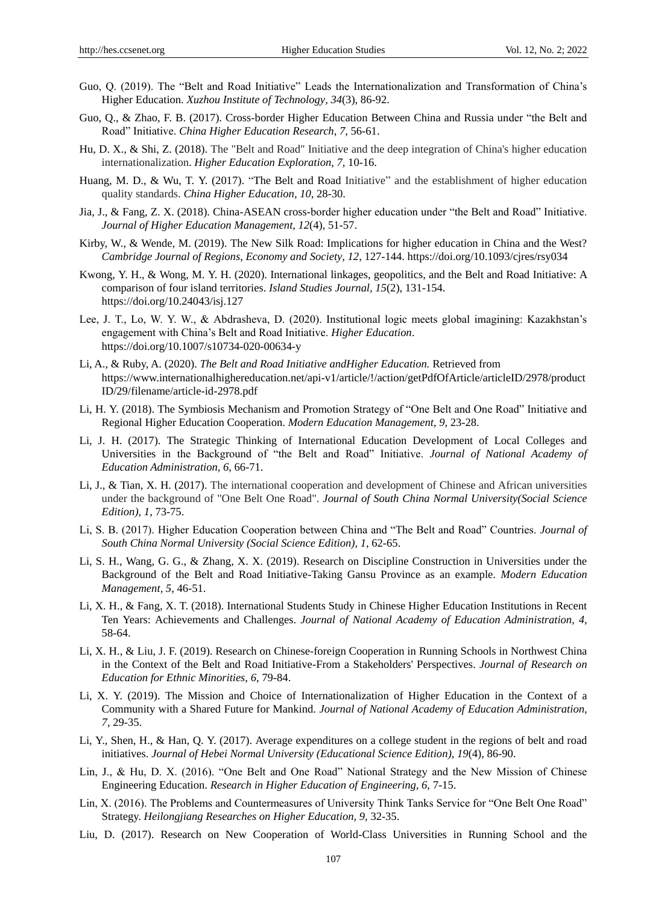- Guo, Q. (2019). The "Belt and Road Initiative" Leads the Internationalization and Transformation of China"s Higher Education. *Xuzhou Institute of Technology, 34*(3), 86-92.
- Guo, Q., & Zhao, F. B. (2017). Cross-border Higher Education Between China and Russia under "the Belt and Road" Initiative. *China Higher Education Research, 7*, 56-61.
- Hu, D. X., & Shi, Z. (2018). The "Belt and Road" Initiative and the deep integration of China's higher education internationalization. *Higher Education Exploration, 7*, 10-16.
- Huang, M. D., & Wu, T. Y. (2017). "The Belt and Road Initiative" and the establishment of higher education quality standards. *China Higher Education, 10*, 28-30.
- Jia, J., & Fang, Z. X. (2018). China-ASEAN cross-border higher education under "the Belt and Road" Initiative. *Journal of Higher Education Management, 12*(4), 51-57.
- Kirby, W., & Wende, M. (2019). The New Silk Road: Implications for higher education in China and the West? *Cambridge Journal of Regions, Economy and Society, 12*, 127-144. https://doi.org/10.1093/cjres/rsy034
- Kwong, Y. H., & Wong, M. Y. H. (2020). International linkages, geopolitics, and the Belt and Road Initiative: A comparison of four island territories. *Island Studies Journal, 15*(2), 131-154. https://doi.org/10.24043/isj.127
- Lee, J. T., Lo, W. Y. W., & Abdrasheva, D. (2020). Institutional logic meets global imagining: Kazakhstan"s engagement with China"s Belt and Road Initiative. *Higher Education*. https://doi.org/10.1007/s10734-020-00634-y
- Li, A., & Ruby, A. (2020). *The Belt and Road Initiative andHigher Education.* Retrieved from https://www.internationalhighereducation.net/api-v1/article/!/action/getPdfOfArticle/articleID/2978/product ID/29/filename/article-id-2978.pdf
- Li, H. Y. (2018). The Symbiosis Mechanism and Promotion Strategy of "One Belt and One Road" Initiative and Regional Higher Education Cooperation. *Modern Education Management, 9*, 23-28.
- Li, J. H. (2017). The Strategic Thinking of International Education Development of Local Colleges and Universities in the Background of "the Belt and Road" Initiative. *Journal of National Academy of Education Administration, 6*, 66-71.
- Li, J., & Tian, X. H. (2017). The international cooperation and development of Chinese and African universities under the background of "One Belt One Road". *Journal of South China Normal University(Social Science Edition), 1*, 73-75.
- Li, S. B. (2017). Higher Education Cooperation between China and "The Belt and Road" Countries. *Journal of South China Normal University (Social Science Edition), 1*, 62-65.
- Li, S. H., Wang, G. G., & Zhang, X. X. (2019). Research on Discipline Construction in Universities under the Background of the Belt and Road Initiative-Taking Gansu Province as an example. *Modern Education Management, 5*, 46-51.
- Li, X. H., & Fang, X. T. (2018). International Students Study in Chinese Higher Education Institutions in Recent Ten Years: Achievements and Challenges. *Journal of National Academy of Education Administration, 4*, 58-64.
- Li, X. H., & Liu, J. F. (2019). Research on Chinese-foreign Cooperation in Running Schools in Northwest China in the Context of the Belt and Road Initiative-From a Stakeholders' Perspectives. *Journal of Research on Education for Ethnic Minorities, 6*, 79-84.
- Li, X. Y. (2019). The Mission and Choice of Internationalization of Higher Education in the Context of a Community with a Shared Future for Mankind. *Journal of National Academy of Education Administration, 7*, 29-35.
- Li, Y., Shen, H., & Han, Q. Y. (2017). Average expenditures on a college student in the regions of belt and road initiatives. *Journal of Hebei Normal University (Educational Science Edition), 19*(4), 86-90.
- Lin, J., & Hu, D. X. (2016). "One Belt and One Road" National Strategy and the New Mission of Chinese Engineering Education. *Research in Higher Education of Engineering, 6*, 7-15.
- Lin, X. (2016). The Problems and Countermeasures of University Think Tanks Service for "One Belt One Road" Strategy. *Heilongjiang Researches on Higher Education, 9*, 32-35.
- Liu, D. (2017). Research on New Cooperation of World-Class Universities in Running School and the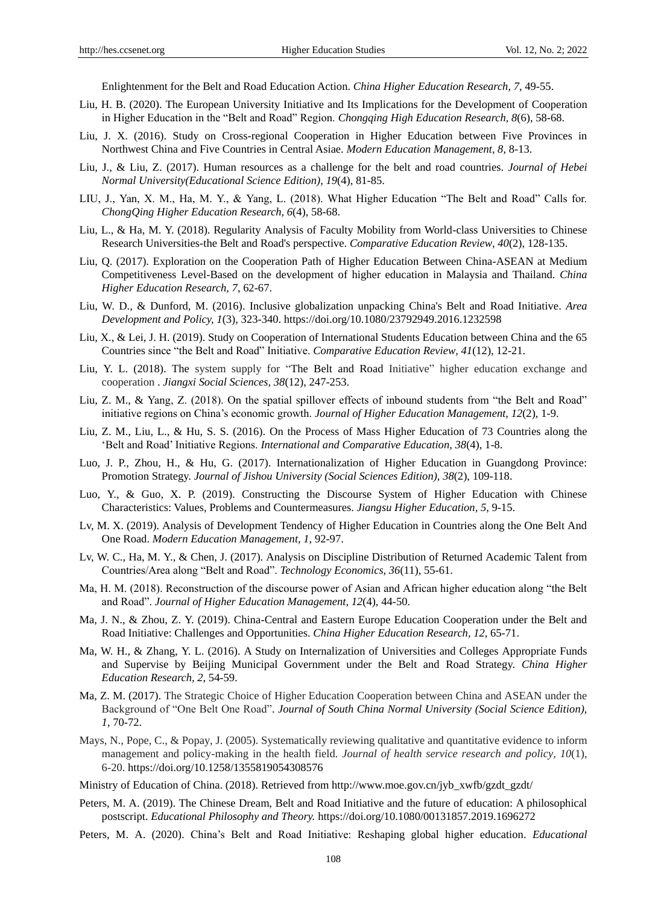Enlightenment for the Belt and Road Education Action. *China Higher Education Research, 7*, 49-55.

- Liu, H. B. (2020). The European University Initiative and Its Implications for the Development of Cooperation in Higher Education in the "Belt and Road" Region. *Chongqing High Education Research, 8*(6), 58-68.
- Liu, J. X. (2016). Study on Cross-regional Cooperation in Higher Education between Five Provinces in Northwest China and Five Countries in Central Asiae. *Modern Education Management, 8*, 8-13.
- Liu, J., & Liu, Z. (2017). Human resources as a challenge for the belt and road countries. *Journal of Hebei Normal University(Educational Science Edition), 19*(4), 81-85.
- LIU, J., Yan, X. M., Ha, M. Y., & Yang, L. (2018). What Higher Education "The Belt and Road" Calls for. *ChongQing Higher Education Research, 6*(4), 58-68.
- Liu, L., & Ha, M. Y. (2018). Regularity Analysis of Faculty Mobility from World-class Universities to Chinese Research Universities-the Belt and Road's perspective. *Comparative Education Review, 40*(2), 128-135.
- Liu, Q. (2017). Exploration on the Cooperation Path of Higher Education Between China-ASEAN at Medium Competitiveness Level-Based on the development of higher education in Malaysia and Thailand. *China Higher Education Research, 7*, 62-67.
- Liu, W. D., & Dunford, M. (2016). Inclusive globalization unpacking China's Belt and Road Initiative. *Area Development and Policy, 1*(3), 323-340. https://doi.org/10.1080/23792949.2016.1232598
- Liu, X., & Lei, J. H. (2019). Study on Cooperation of International Students Education between China and the 65 Countries since "the Belt and Road" Initiative. *Comparative Education Review, 41*(12), 12-21.
- Liu, Y. L. (2018). The system supply for "The Belt and Road Initiative" higher education exchange and cooperation . *Jiangxi Social Sciences, 38*(12), 247-253.
- Liu, Z. M., & Yang, Z. (2018). On the spatial spillover effects of inbound students from "the Belt and Road" initiative regions on China"s economic growth. *Journal of Higher Education Management, 12*(2), 1-9.
- Liu, Z. M., Liu, L., & Hu, S. S. (2016). On the Process of Mass Higher Education of 73 Countries along the "Belt and Road" Initiative Regions. *International and Comparative Education, 38*(4), 1-8.
- Luo, J. P., Zhou, H., & Hu, G. (2017). Internationalization of Higher Education in Guangdong Province: Promotion Strategy. *Journal of Jishou University (Social Sciences Edition), 38*(2), 109-118.
- Luo, Y., & Guo, X. P. (2019). Constructing the Discourse System of Higher Education with Chinese Characteristics: Values, Problems and Countermeasures. *Jiangsu Higher Education, 5*, 9-15.
- Lv, M. X. (2019). Analysis of Development Tendency of Higher Education in Countries along the One Belt And One Road. *Modern Education Management, 1*, 92-97.
- Lv, W. C., Ha, M. Y., & Chen, J. (2017). Analysis on Discipline Distribution of Returned Academic Talent from Countries/Area along "Belt and Road". *Technology Economics, 36*(11), 55-61.
- Ma, H. M. (2018). Reconstruction of the discourse power of Asian and African higher education along "the Belt and Road". *Journal of Higher Education Management, 12*(4), 44-50.
- Ma, J. N., & Zhou, Z. Y. (2019). China-Central and Eastern Europe Education Cooperation under the Belt and Road Initiative: Challenges and Opportunities. *China Higher Education Research, 12*, 65-71.
- Ma, W. H., & Zhang, Y. L. (2016). A Study on Internalization of Universities and Colleges Appropriate Funds and Supervise by Beijing Municipal Government under the Belt and Road Strategy. *China Higher Education Research, 2*, 54-59.
- Ma, Z. M. (2017). The Strategic Choice of Higher Education Cooperation between China and ASEAN under the Background of "One Belt One Road". *Journal of South China Normal University (Social Science Edition), 1*, 70-72.
- Mays, N., Pope, C., & Popay, J. (2005). Systematically reviewing qualitative and quantitative evidence to inform management and policy-making in the health field. *Journal of health service research and policy, 10*(1), 6-20. https://doi.org/10.1258/1355819054308576
- Ministry of Education of China. (2018). Retrieved from http://www.moe.gov.cn/jyb\_xwfb/gzdt\_gzdt/
- Peters, M. A. (2019). The Chinese Dream, Belt and Road Initiative and the future of education: A philosophical postscript. *Educational Philosophy and Theory.* https://doi.org/10.1080/00131857.2019.1696272
- Peters, M. A. (2020). China"s Belt and Road Initiative: Reshaping global higher education. *Educational*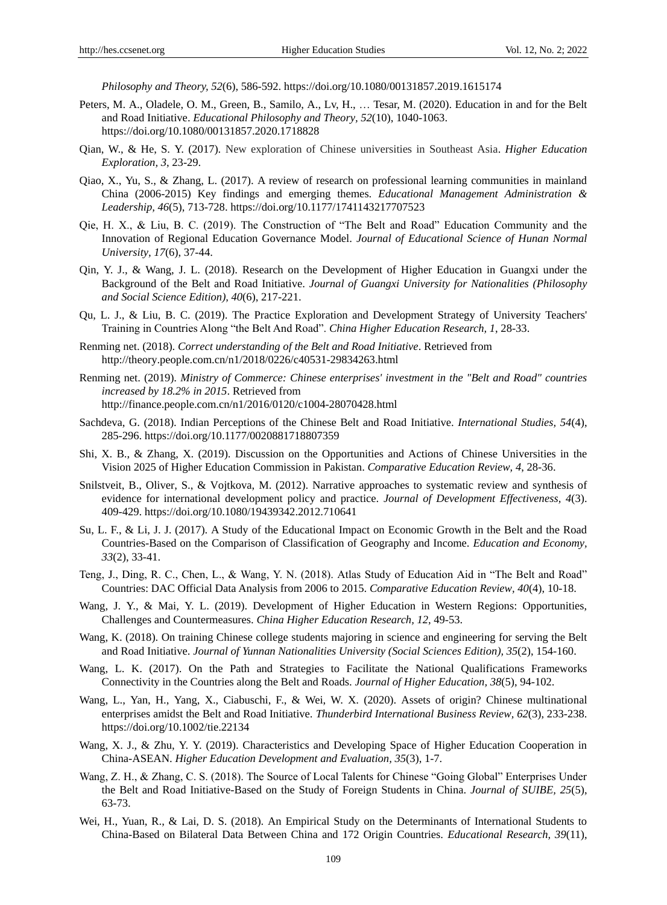*Philosophy and Theory, 52*(6), 586-592. https://doi.org/10.1080/00131857.2019.1615174

- Peters, M. A., Oladele, O. M., Green, B., Samilo, A., Lv, H., … Tesar, M. (2020). Education in and for the Belt and Road Initiative. *Educational Philosophy and Theory, 52*(10), 1040-1063. https://doi.org/10.1080/00131857.2020.1718828
- Qian, W., & He, S. Y. (2017). New exploration of Chinese universities in Southeast Asia. *Higher Education Exploration, 3*, 23-29.
- Qiao, X., Yu, S., & Zhang, L. (2017). A review of research on professional learning communities in mainland China (2006-2015) Key findings and emerging themes. *Educational Management Administration & Leadership, 46*(5), 713-728. https://doi.org/10.1177/1741143217707523
- Qie, H. X., & Liu, B. C. (2019). The Construction of "The Belt and Road" Education Community and the Innovation of Regional Education Governance Model. *Journal of Educational Science of Hunan Normal University, 17*(6), 37-44.
- Qin, Y. J., & Wang, J. L. (2018). Research on the Development of Higher Education in Guangxi under the Background of the Belt and Road Initiative. *Journal of Guangxi University for Nationalities (Philosophy and Social Science Edition), 40*(6), 217-221.
- Qu, L. J., & Liu, B. C. (2019). The Practice Exploration and Development Strategy of University Teachers' Training in Countries Along "the Belt And Road". *China Higher Education Research, 1*, 28-33.
- Renming net. (2018). *Correct understanding of the Belt and Road Initiative*. Retrieved from http://theory.people.com.cn/n1/2018/0226/c40531-29834263.html
- Renming net. (2019). *Ministry of Commerce: Chinese enterprises' investment in the "Belt and Road" countries increased by 18.2% in 2015*. Retrieved from http://finance.people.com.cn/n1/2016/0120/c1004-28070428.html
- Sachdeva, G. (2018). Indian Perceptions of the Chinese Belt and Road Initiative. *International Studies, 54*(4), 285-296. https://doi.org/10.1177/0020881718807359
- Shi, X. B., & Zhang, X. (2019). Discussion on the Opportunities and Actions of Chinese Universities in the Vision 2025 of Higher Education Commission in Pakistan. *Comparative Education Review, 4*, 28-36.
- Snilstveit, B., Oliver, S., & Vojtkova, M. (2012). Narrative approaches to systematic review and synthesis of evidence for international development policy and practice. *Journal of Development Effectiveness, 4*(3). 409-429. https://doi.org/10.1080/19439342.2012.710641
- Su, L. F., & Li, J. J. (2017). A Study of the Educational Impact on Economic Growth in the Belt and the Road Countries-Based on the Comparison of Classification of Geography and Income. *Education and Economy, 33*(2), 33-41.
- Teng, J., Ding, R. C., Chen, L., & Wang, Y. N. (2018). Atlas Study of Education Aid in "The Belt and Road" Countries: DAC Official Data Analysis from 2006 to 2015. *Comparative Education Review, 40*(4), 10-18.
- Wang, J. Y., & Mai, Y. L. (2019). Development of Higher Education in Western Regions: Opportunities, Challenges and Countermeasures. *China Higher Education Research, 12*, 49-53.
- Wang, K. (2018). On training Chinese college students majoring in science and engineering for serving the Belt and Road Initiative. *Journal of Yunnan Nationalities University (Social Sciences Edition), 35*(2), 154-160.
- Wang, L. K. (2017). On the Path and Strategies to Facilitate the National Qualifications Frameworks Connectivity in the Countries along the Belt and Roads. *Journal of Higher Education, 38*(5), 94-102.
- Wang, L., Yan, H., Yang, X., Ciabuschi, F., & Wei, W. X. (2020). Assets of origin? Chinese multinational enterprises amidst the Belt and Road Initiative. *Thunderbird International Business Review, 62*(3), 233-238. https://doi.org/10.1002/tie.22134
- Wang, X. J., & Zhu, Y. Y. (2019). Characteristics and Developing Space of Higher Education Cooperation in China-ASEAN. *Higher Education Development and Evaluation, 35*(3), 1-7.
- Wang, Z. H., & Zhang, C. S. (2018). The Source of Local Talents for Chinese "Going Global" Enterprises Under the Belt and Road Initiative-Based on the Study of Foreign Students in China. *Journal of SUIBE, 25*(5), 63-73.
- Wei, H., Yuan, R., & Lai, D. S. (2018). An Empirical Study on the Determinants of International Students to China-Based on Bilateral Data Between China and 172 Origin Countries. *Educational Research, 39*(11),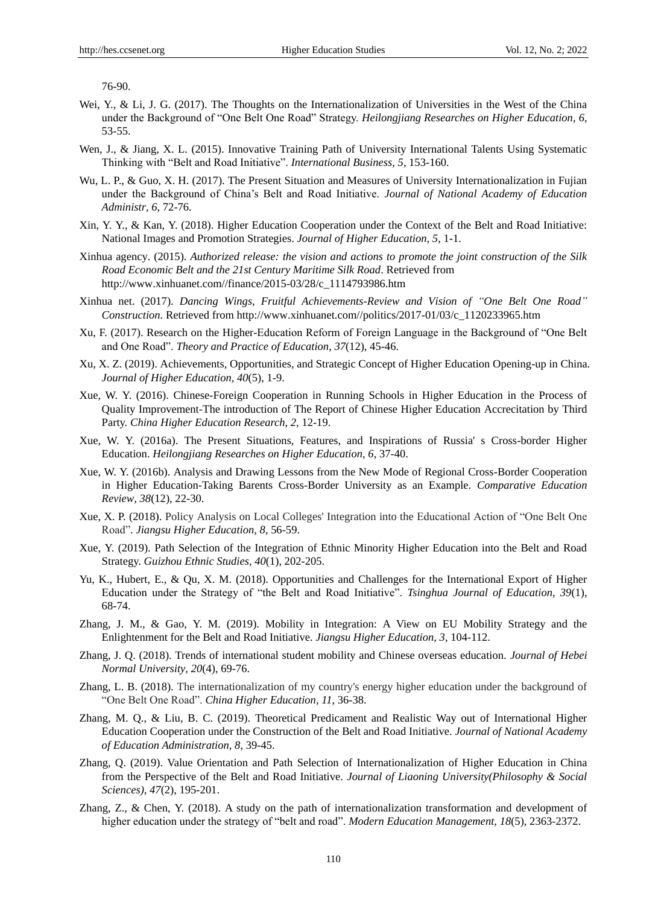76-90.

- Wei, Y., & Li, J. G. (2017). The Thoughts on the Internationalization of Universities in the West of the China under the Background of "One Belt One Road" Strategy. *Heilongjiang Researches on Higher Education, 6*, 53-55.
- Wen, J., & Jiang, X. L. (2015). Innovative Training Path of University International Talents Using Systematic Thinking with "Belt and Road Initiative". *International Business, 5*, 153-160.
- Wu, L. P., & Guo, X. H. (2017). The Present Situation and Measures of University Internationalization in Fujian under the Background of China"s Belt and Road Initiative. *Journal of National Academy of Education Administr, 6*, 72-76.
- Xin, Y. Y., & Kan, Y. (2018). Higher Education Cooperation under the Context of the Belt and Road Initiative: National Images and Promotion Strategies. *Journal of Higher Education, 5*, 1-1.
- Xinhua agency. (2015). *Authorized release: the vision and actions to promote the joint construction of the Silk Road Economic Belt and the 21st Century Maritime Silk Road*. Retrieved from http://www.xinhuanet.com//finance/2015-03/28/c\_1114793986.htm
- Xinhua net. (2017). *Dancing Wings, Fruitful Achievements-Review and Vision of "One Belt One Road" Construction.* Retrieved from http://www.xinhuanet.com//politics/2017-01/03/c\_1120233965.htm
- Xu, F. (2017). Research on the Higher-Education Reform of Foreign Language in the Background of "One Belt and One Road". *Theory and Practice of Education, 37*(12), 45-46.
- Xu, X. Z. (2019). Achievements, Opportunities, and Strategic Concept of Higher Education Opening-up in China. *Journal of Higher Education, 40*(5), 1-9.
- Xue, W. Y. (2016). Chinese-Foreign Cooperation in Running Schools in Higher Education in the Process of Quality Improvement-The introduction of The Report of Chinese Higher Education Accrecitation by Third Party. *China Higher Education Research, 2*, 12-19.
- Xue, W. Y. (2016a). The Present Situations, Features, and Inspirations of Russia' s Cross-border Higher Education. *Heilongjiang Researches on Higher Education, 6*, 37-40.
- Xue, W. Y. (2016b). Analysis and Drawing Lessons from the New Mode of Regional Cross-Border Cooperation in Higher Education-Taking Barents Cross-Border University as an Example. *Comparative Education Review, 38*(12), 22-30.
- Xue, X. P. (2018). Policy Analysis on Local Colleges' Integration into the Educational Action of "One Belt One Road". *Jiangsu Higher Education, 8*, 56-59.
- Xue, Y. (2019). Path Selection of the Integration of Ethnic Minority Higher Education into the Belt and Road Strategy. *Guizhou Ethnic Studies, 40*(1), 202-205.
- Yu, K., Hubert, E., & Qu, X. M. (2018). Opportunities and Challenges for the International Export of Higher Education under the Strategy of "the Belt and Road Initiative". *Tsinghua Journal of Education, 39*(1), 68-74.
- Zhang, J. M., & Gao, Y. M. (2019). Mobility in Integration: A View on EU Mobility Strategy and the Enlightenment for the Belt and Road Initiative. *Jiangsu Higher Education, 3*, 104-112.
- Zhang, J. Q. (2018). Trends of international student mobility and Chinese overseas education. *Journal of Hebei Normal University, 20*(4), 69-76.
- Zhang, L. B. (2018). The internationalization of my country's energy higher education under the background of "One Belt One Road". *China Higher Education, 11*, 36-38.
- Zhang, M. Q., & Liu, B. C. (2019). Theoretical Predicament and Realistic Way out of International Higher Education Cooperation under the Construction of the Belt and Road Initiative. *Journal of National Academy of Education Administration, 8*, 39-45.
- Zhang, Q. (2019). Value Orientation and Path Selection of Internationalization of Higher Education in China from the Perspective of the Belt and Road Initiative. *Journal of Liaoning University(Philosophy & Social Sciences), 47*(2), 195-201.
- Zhang, Z., & Chen, Y. (2018). A study on the path of internationalization transformation and development of higher education under the strategy of "belt and road". *Modern Education Management, 18*(5), 2363-2372.